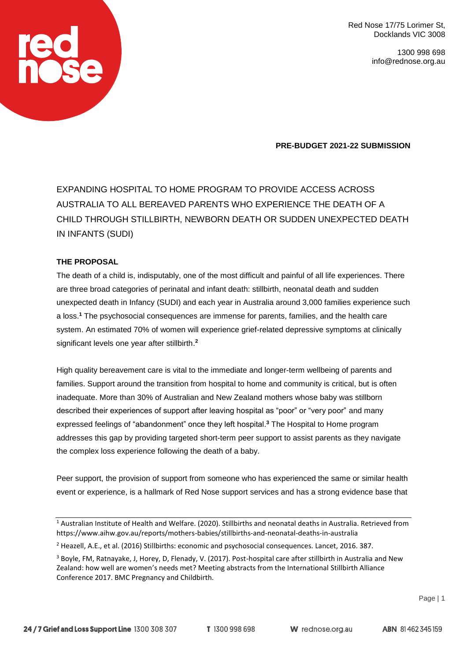> 1300 998 698 info@rednose.org.au

**PRE-BUDGET 2021-22 SUBMISSION**

EXPANDING HOSPITAL TO HOME PROGRAM TO PROVIDE ACCESS ACROSS AUSTRALIA TO ALL BEREAVED PARENTS WHO EXPERIENCE THE DEATH OF A CHILD THROUGH STILLBIRTH, NEWBORN DEATH OR SUDDEN UNEXPECTED DEATH IN INFANTS (SUDI)

# **THE PROPOSAL**

The death of a child is, indisputably, one of the most difficult and painful of all life experiences. There are three broad categories of perinatal and infant death: stillbirth, neonatal death and sudden unexpected death in Infancy (SUDI) and each year in Australia around 3,000 families experience such a loss. **<sup>1</sup>** The psychosocial consequences are immense for parents, families, and the health care system. An estimated 70% of women will experience grief-related depressive symptoms at clinically significant levels one year after stillbirth. **2**

High quality bereavement care is vital to the immediate and longer-term wellbeing of parents and families. Support around the transition from hospital to home and community is critical, but is often inadequate. More than 30% of Australian and New Zealand mothers whose baby was stillborn described their experiences of support after leaving hospital as "poor" or "very poor" and many expressed feelings of "abandonment" once they left hospital. **<sup>3</sup>** The Hospital to Home program addresses this gap by providing targeted short-term peer support to assist parents as they navigate the complex loss experience following the death of a baby.

Peer support, the provision of support from someone who has experienced the same or similar health event or experience, is a hallmark of Red Nose support services and has a strong evidence base that

<sup>1</sup> Australian Institute of Health and Welfare. (2020). Stillbirths and neonatal deaths in Australia. Retrieved from https://www.aihw.gov.au/reports/mothers-babies/stillbirths-and-neonatal-deaths-in-australia

<sup>2</sup> Heazell, A.E., et al. (2016) Stillbirths: economic and psychosocial consequences. Lancet, 2016. 387.

 $3$  Boyle, FM, Ratnayake, J, Horey, D, Flenady, V. (2017). Post-hospital care after stillbirth in Australia and New Zealand: how well are women's needs met? Meeting abstracts from the International Stillbirth Alliance Conference 2017. BMC Pregnancy and Childbirth.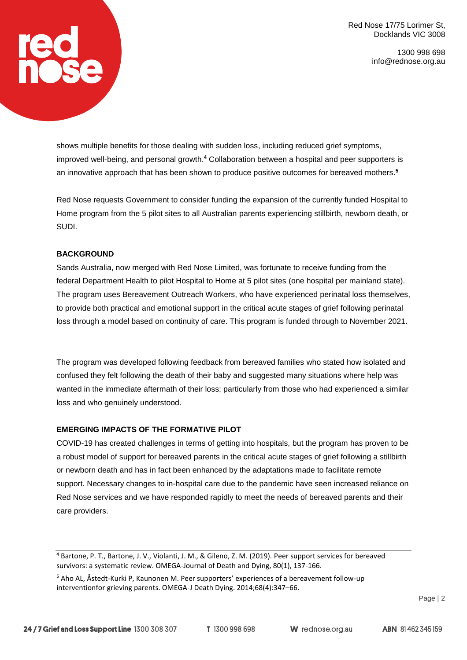> 1300 998 698 info@rednose.org.au

shows multiple benefits for those dealing with sudden loss, including reduced grief symptoms, improved well-being, and personal growth. **<sup>4</sup>** Collaboration between a hospital and peer supporters is an innovative approach that has been shown to produce positive outcomes for bereaved mothers. **5**

Red Nose requests Government to consider funding the expansion of the currently funded Hospital to Home program from the 5 pilot sites to all Australian parents experiencing stillbirth, newborn death, or SUDI.

### **BACKGROUND**

Sands Australia, now merged with Red Nose Limited, was fortunate to receive funding from the federal Department Health to pilot Hospital to Home at 5 pilot sites (one hospital per mainland state). The program uses Bereavement Outreach Workers, who have experienced perinatal loss themselves, to provide both practical and emotional support in the critical acute stages of grief following perinatal loss through a model based on continuity of care. This program is funded through to November 2021.

The program was developed following feedback from bereaved families who stated how isolated and confused they felt following the death of their baby and suggested many situations where help was wanted in the immediate aftermath of their loss; particularly from those who had experienced a similar loss and who genuinely understood.

### **EMERGING IMPACTS OF THE FORMATIVE PILOT**

COVID-19 has created challenges in terms of getting into hospitals, but the program has proven to be a robust model of support for bereaved parents in the critical acute stages of grief following a stillbirth or newborn death and has in fact been enhanced by the adaptations made to facilitate remote support. Necessary changes to in-hospital care due to the pandemic have seen increased reliance on Red Nose services and we have responded rapidly to meet the needs of bereaved parents and their care providers.

Page | 2

<sup>4</sup> Bartone, P. T., Bartone, J. V., Violanti, J. M., & Gileno, Z. M. (2019). Peer support services for bereaved survivors: a systematic review. OMEGA-Journal of Death and Dying, 80(1), 137-166.

<sup>5</sup> Aho AL, Åstedt-Kurki P, Kaunonen M. Peer supporters' experiences of a bereavement follow-up interventionfor grieving parents. OMEGA-J Death Dying. 2014;68(4):347–66.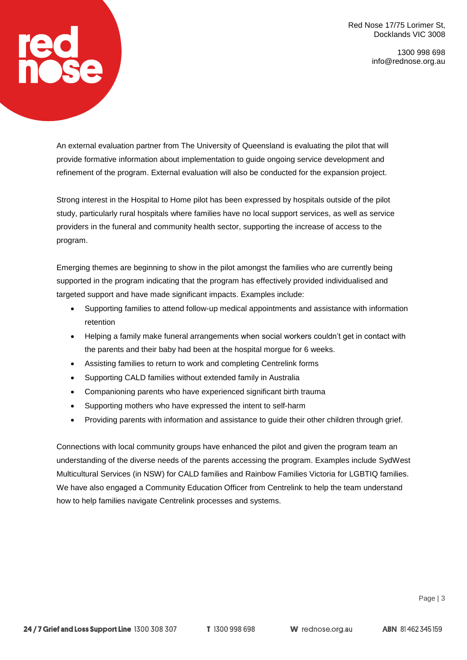> 1300 998 698 info@rednose.org.au

An external evaluation partner from The University of Queensland is evaluating the pilot that will provide formative information about implementation to guide ongoing service development and refinement of the program. External evaluation will also be conducted for the expansion project.

**red<br>nose** 

Strong interest in the Hospital to Home pilot has been expressed by hospitals outside of the pilot study, particularly rural hospitals where families have no local support services, as well as service providers in the funeral and community health sector, supporting the increase of access to the program.

Emerging themes are beginning to show in the pilot amongst the families who are currently being supported in the program indicating that the program has effectively provided individualised and targeted support and have made significant impacts. Examples include:

- Supporting families to attend follow-up medical appointments and assistance with information retention
- Helping a family make funeral arrangements when social workers couldn't get in contact with the parents and their baby had been at the hospital morgue for 6 weeks.
- Assisting families to return to work and completing Centrelink forms
- Supporting CALD families without extended family in Australia
- Companioning parents who have experienced significant birth trauma
- Supporting mothers who have expressed the intent to self-harm
- Providing parents with information and assistance to guide their other children through grief.

Connections with local community groups have enhanced the pilot and given the program team an understanding of the diverse needs of the parents accessing the program. Examples include SydWest Multicultural Services (in NSW) for CALD families and Rainbow Families Victoria for LGBTIQ families. We have also engaged a Community Education Officer from Centrelink to help the team understand how to help families navigate Centrelink processes and systems.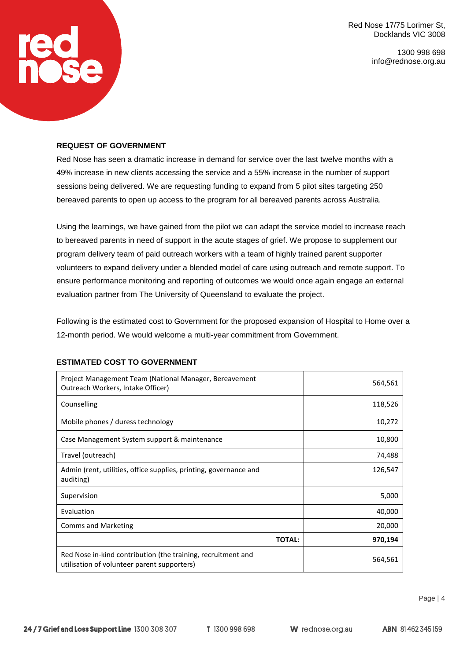> 1300 998 698 info@rednose.org.au

#### **REQUEST OF GOVERNMENT**

**red<br>hose** 

Red Nose has seen a dramatic increase in demand for service over the last twelve months with a 49% increase in new clients accessing the service and a 55% increase in the number of support sessions being delivered. We are requesting funding to expand from 5 pilot sites targeting 250 bereaved parents to open up access to the program for all bereaved parents across Australia.

Using the learnings, we have gained from the pilot we can adapt the service model to increase reach to bereaved parents in need of support in the acute stages of grief. We propose to supplement our program delivery team of paid outreach workers with a team of highly trained parent supporter volunteers to expand delivery under a blended model of care using outreach and remote support. To ensure performance monitoring and reporting of outcomes we would once again engage an external evaluation partner from The University of Queensland to evaluate the project.

Following is the estimated cost to Government for the proposed expansion of Hospital to Home over a 12-month period. We would welcome a multi-year commitment from Government.

| Project Management Team (National Manager, Bereavement<br>Outreach Workers, Intake Officer)                 | 564,561 |
|-------------------------------------------------------------------------------------------------------------|---------|
| Counselling                                                                                                 | 118,526 |
| Mobile phones / duress technology                                                                           | 10,272  |
| Case Management System support & maintenance                                                                | 10,800  |
| Travel (outreach)                                                                                           | 74,488  |
| Admin (rent, utilities, office supplies, printing, governance and<br>auditing)                              | 126,547 |
| Supervision                                                                                                 | 5,000   |
| Evaluation                                                                                                  | 40,000  |
| <b>Comms and Marketing</b>                                                                                  | 20,000  |
| <b>TOTAL:</b>                                                                                               | 970,194 |
| Red Nose in-kind contribution (the training, recruitment and<br>utilisation of volunteer parent supporters) | 564,561 |

#### **ESTIMATED COST TO GOVERNMENT**

**W** rednose.org.au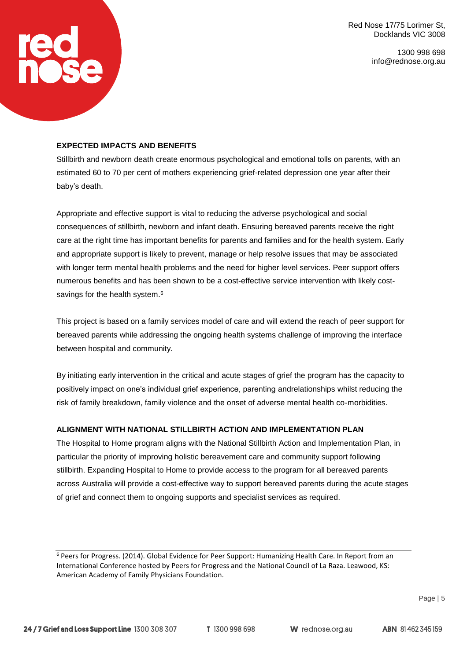> 1300 998 698 info@rednose.org.au

#### **EXPECTED IMPACTS AND BENEFITS**

**rega** 

Stillbirth and newborn death create enormous psychological and emotional tolls on parents, with an estimated 60 to 70 per cent of mothers experiencing grief-related depression one year after their baby's death.

Appropriate and effective support is vital to reducing the adverse psychological and social consequences of stillbirth, newborn and infant death. Ensuring bereaved parents receive the right care at the right time has important benefits for parents and families and for the health system. Early and appropriate support is likely to prevent, manage or help resolve issues that may be associated with longer term mental health problems and the need for higher level services. Peer support offers numerous benefits and has been shown to be a cost-effective service intervention with likely costsavings for the health system.<sup>6</sup>

This project is based on a family services model of care and will extend the reach of peer support for bereaved parents while addressing the ongoing health systems challenge of improving the interface between hospital and community.

By initiating early intervention in the critical and acute stages of grief the program has the capacity to positively impact on one's individual grief experience, parenting andrelationships whilst reducing the risk of family breakdown, family violence and the onset of adverse mental health co-morbidities.

# **ALIGNMENT WITH NATIONAL STILLBIRTH ACTION AND IMPLEMENTATION PLAN**

The Hospital to Home program aligns with the National Stillbirth Action and Implementation Plan, in particular the priority of improving holistic bereavement care and community support following stillbirth. Expanding Hospital to Home to provide access to the program for all bereaved parents across Australia will provide a cost-effective way to support bereaved parents during the acute stages of grief and connect them to ongoing supports and specialist services as required.

<sup>6</sup> Peers for Progress. (2014). Global Evidence for Peer Support: Humanizing Health Care. In Report from an International Conference hosted by Peers for Progress and the National Council of La Raza. Leawood, KS: American Academy of Family Physicians Foundation.